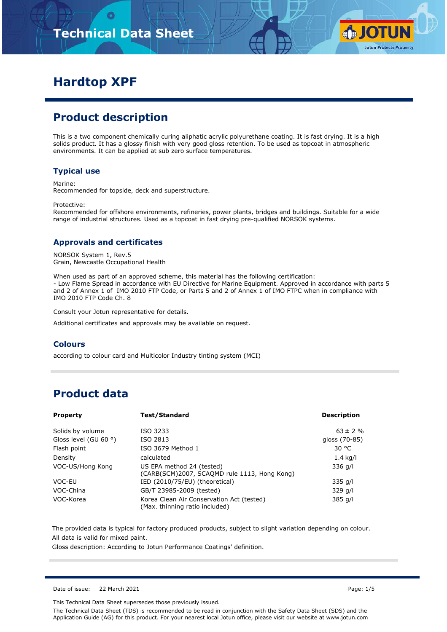# **Technical Data Sheet**



# **Hardtop XPF**

# **Product description**

This is a two component chemically curing aliphatic acrylic polyurethane coating. It is fast drying. It is a high solids product. It has a glossy finish with very good gloss retention. To be used as topcoat in atmospheric environments. It can be applied at sub zero surface temperatures.

#### **Typical use**

Marine:

Recommended for topside, deck and superstructure.

Protective:

Recommended for offshore environments, refineries, power plants, bridges and buildings. Suitable for a wide range of industrial structures. Used as a topcoat in fast drying pre-qualified NORSOK systems.

#### **Approvals and certificates**

NORSOK System 1, Rev.5 Grain, Newcastle Occupational Health

When used as part of an approved scheme, this material has the following certification: - Low Flame Spread in accordance with EU Directive for Marine Equipment. Approved in accordance with parts 5 and 2 of Annex 1 of IMO 2010 FTP Code, or Parts 5 and 2 of Annex 1 of IMO FTPC when in compliance with IMO 2010 FTP Code Ch. 8

Consult your Jotun representative for details.

Additional certificates and approvals may be available on request.

#### **Colours**

according to colour card and Multicolor Industry tinting system (MCI)

## **Product data**

| <b>Property</b>                | Test/Standard                                                               | <b>Description</b> |
|--------------------------------|-----------------------------------------------------------------------------|--------------------|
| Solids by volume               | ISO 3233                                                                    | $63 \pm 2 \%$      |
| Gloss level (GU 60 $\degree$ ) | ISO 2813                                                                    | gloss (70-85)      |
| Flash point                    | ISO 3679 Method 1                                                           | 30 °C              |
| Density                        | calculated                                                                  | $1.4$ kg/l         |
| VOC-US/Hong Kong               | US EPA method 24 (tested)<br>(CARB(SCM)2007, SCAQMD rule 1113, Hong Kong)   | 336 g/l            |
| VOC-EU                         | IED (2010/75/EU) (theoretical)                                              | $335$ g/l          |
| VOC-China                      | GB/T 23985-2009 (tested)                                                    | $329$ g/l          |
| VOC-Korea                      | Korea Clean Air Conservation Act (tested)<br>(Max. thinning ratio included) | 385 g/l            |

The provided data is typical for factory produced products, subject to slight variation depending on colour. All data is valid for mixed paint.

Gloss description: According to Jotun Performance Coatings' definition.

Date of issue: 22 March 2021 Page: 1/5

This Technical Data Sheet supersedes those previously issued.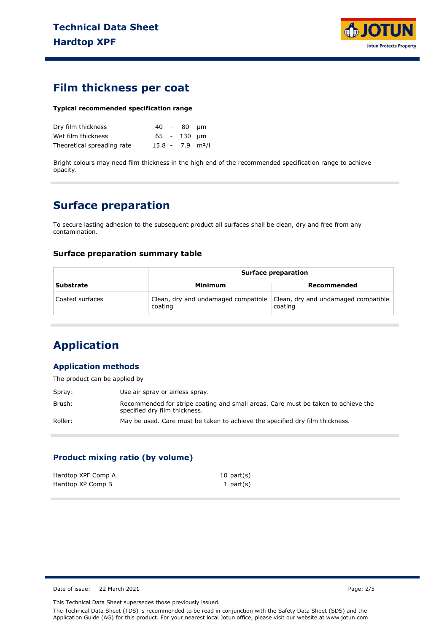

### **Film thickness per coat**

#### **Typical recommended specification range**

| Dry film thickness         |                                | 40 - 80 µm  |  |
|----------------------------|--------------------------------|-------------|--|
| Wet film thickness         |                                | 65 - 130 um |  |
| Theoretical spreading rate | $15.8 - 7.9$ m <sup>2</sup> /l |             |  |

Bright colours may need film thickness in the high end of the recommended specification range to achieve opacity.

### **Surface preparation**

To secure lasting adhesion to the subsequent product all surfaces shall be clean, dry and free from any contamination.

#### **Surface preparation summary table**

|                  |                                                | <b>Surface preparation</b>                     |  |  |
|------------------|------------------------------------------------|------------------------------------------------|--|--|
| <b>Substrate</b> | Minimum                                        | Recommended                                    |  |  |
| Coated surfaces  | Clean, dry and undamaged compatible<br>coating | Clean, dry and undamaged compatible<br>coating |  |  |

# **Application**

#### **Application methods**

The product can be applied by

| Spray:  | Use air spray or airless spray.                                                                                    |
|---------|--------------------------------------------------------------------------------------------------------------------|
| Brush:  | Recommended for stripe coating and small areas. Care must be taken to achieve the<br>specified dry film thickness. |
| Roller: | May be used. Care must be taken to achieve the specified dry film thickness.                                       |

#### **Product mixing ratio (by volume)**

| Hardtop XPF Comp A | $10$ part $(s)$ |
|--------------------|-----------------|
| Hardtop XP Comp B  | 1 part $(s)$    |

Date of issue: 22 March 2021 Page: 2/5

This Technical Data Sheet supersedes those previously issued.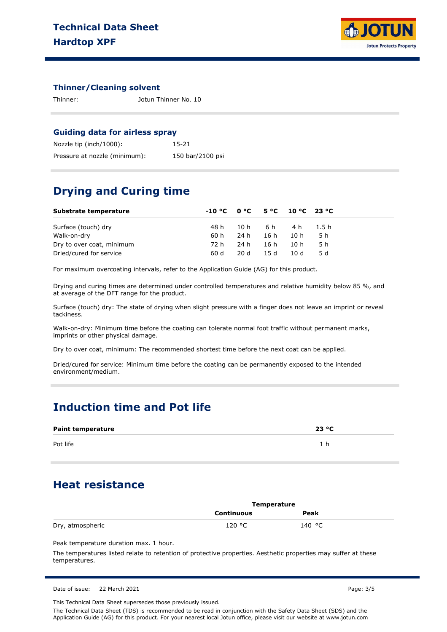

#### **Thinner/Cleaning solvent**

Thinner: Jotun Thinner No. 10

#### **Guiding data for airless spray**

| Nozzle tip (inch/1000):       | 15-21            |
|-------------------------------|------------------|
| Pressure at nozzle (minimum): | 150 bar/2100 psi |

### **Drying and Curing time**

| Substrate temperature     | $-10 °C$ $0 °C$ $5 °C$ $10 °C$ $23 °C$ |      |         |                |     |
|---------------------------|----------------------------------------|------|---------|----------------|-----|
| Surface (touch) dry       | 48 h                                   |      |         | 10h 6h 4h 1.5h |     |
| Walk-on-dry               | 60 h                                   | 24 h | 16h 10h |                | 5 h |
| Dry to over coat, minimum | 72 h                                   | 24 h | 16h     | 10h            | 5 h |
| Dried/cured for service   | 60 d                                   | 20 d | 15 d    | 10 d           | 5 d |

For maximum overcoating intervals, refer to the Application Guide (AG) for this product.

Drying and curing times are determined under controlled temperatures and relative humidity below 85 %, and at average of the DFT range for the product.

Surface (touch) dry: The state of drying when slight pressure with a finger does not leave an imprint or reveal tackiness.

Walk-on-dry: Minimum time before the coating can tolerate normal foot traffic without permanent marks, imprints or other physical damage.

Dry to over coat, minimum: The recommended shortest time before the next coat can be applied.

Dried/cured for service: Minimum time before the coating can be permanently exposed to the intended environment/medium.

### **Induction time and Pot life**

| <b>Paint temperature</b> | 23 °C |
|--------------------------|-------|
| Pot life                 |       |

# **Heat resistance**

|                  | Temperature       |                 |  |
|------------------|-------------------|-----------------|--|
|                  | <b>Continuous</b> | Peak            |  |
| Dry, atmospheric | 120 °C            | 140 $\degree$ C |  |

Peak temperature duration max. 1 hour.

The temperatures listed relate to retention of protective properties. Aesthetic properties may suffer at these temperatures.

|  | Date of issue: 22 March 2021 | Page: 3/5 |
|--|------------------------------|-----------|
|--|------------------------------|-----------|

This Technical Data Sheet supersedes those previously issued.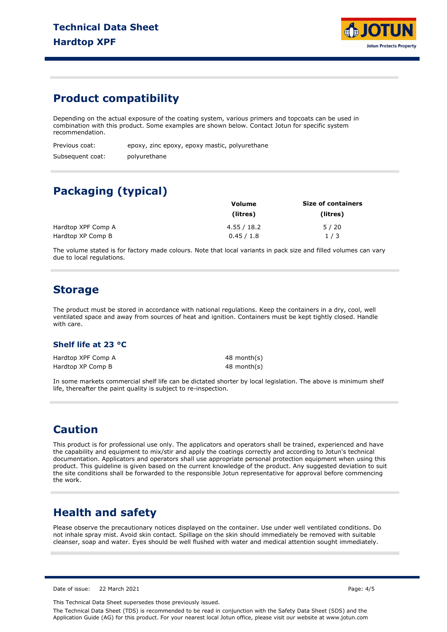

### **Product compatibility**

Depending on the actual exposure of the coating system, various primers and topcoats can be used in combination with this product. Some examples are shown below. Contact Jotun for specific system recommendation.

| Previous coat:   | epoxy, zinc epoxy, epoxy mastic, polyurethane |
|------------------|-----------------------------------------------|
| Subsequent coat: | polyurethane                                  |

# **Packaging (typical)**

|                    | Volume      | <b>Size of containers</b> |
|--------------------|-------------|---------------------------|
|                    | (litres)    | (litres)                  |
| Hardtop XPF Comp A | 4.55 / 18.2 | 5/20                      |
| Hardtop XP Comp B  | 0.45/1.8    | 1/3                       |

The volume stated is for factory made colours. Note that local variants in pack size and filled volumes can vary due to local regulations.

### **Storage**

The product must be stored in accordance with national regulations. Keep the containers in a dry, cool, well ventilated space and away from sources of heat and ignition. Containers must be kept tightly closed. Handle with care.

#### **Shelf life at 23 °C**

Hardtop XPF Comp A Hardtop XP Comp B

48 month(s) 48 month(s)

In some markets commercial shelf life can be dictated shorter by local legislation. The above is minimum shelf life, thereafter the paint quality is subject to re-inspection.

### **Caution**

This product is for professional use only. The applicators and operators shall be trained, experienced and have the capability and equipment to mix/stir and apply the coatings correctly and according to Jotun's technical documentation. Applicators and operators shall use appropriate personal protection equipment when using this product. This guideline is given based on the current knowledge of the product. Any suggested deviation to suit the site conditions shall be forwarded to the responsible Jotun representative for approval before commencing the work.

### **Health and safety**

Please observe the precautionary notices displayed on the container. Use under well ventilated conditions. Do not inhale spray mist. Avoid skin contact. Spillage on the skin should immediately be removed with suitable cleanser, soap and water. Eyes should be well flushed with water and medical attention sought immediately.

Date of issue: 22 March 2021 Page: 4/5

This Technical Data Sheet supersedes those previously issued.